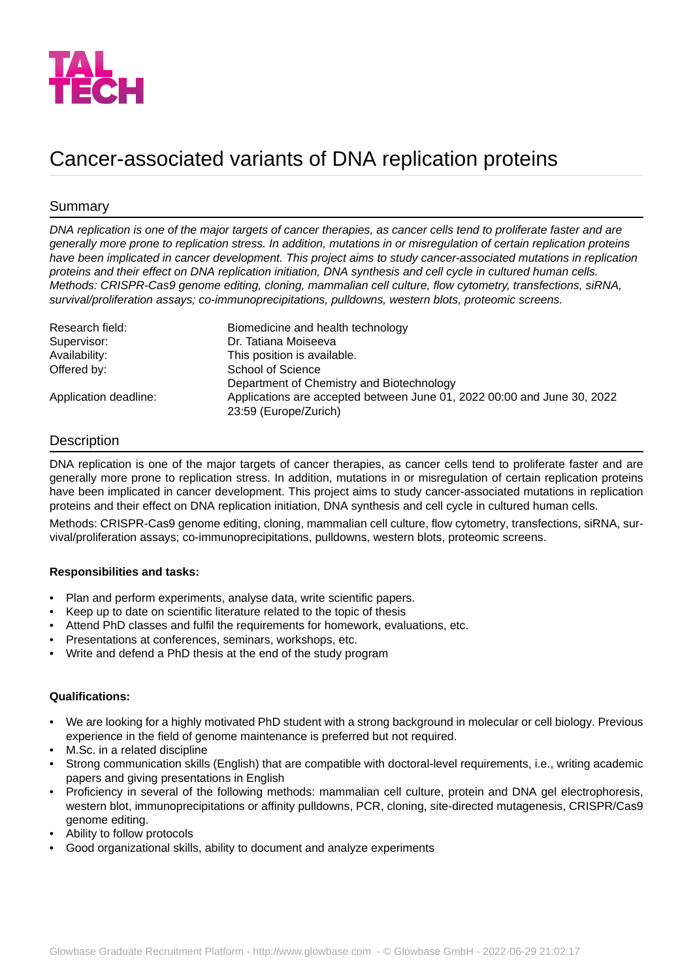

# Cancer-associated variants of DNA replication proteins

## Summary

*DNA replication is one of the major targets of cancer therapies, as cancer cells tend to proliferate faster and are generally more prone to replication stress. In addition, mutations in or misregulation of certain replication proteins have been implicated in cancer development. This project aims to study cancer-associated mutations in replication proteins and their effect on DNA replication initiation, DNA synthesis and cell cycle in cultured human cells. Methods: CRISPR-Cas9 genome editing, cloning, mammalian cell culture, flow cytometry, transfections, siRNA, survival/proliferation assays; co-immunoprecipitations, pulldowns, western blots, proteomic screens.*

| Research field:       | Biomedicine and health technology                                                                |
|-----------------------|--------------------------------------------------------------------------------------------------|
| Supervisor:           | Dr. Tatiana Moiseeva                                                                             |
| Availability:         | This position is available.                                                                      |
| Offered by:           | School of Science                                                                                |
|                       | Department of Chemistry and Biotechnology                                                        |
| Application deadline: | Applications are accepted between June 01, 2022 00:00 and June 30, 2022<br>23:59 (Europe/Zurich) |

### **Description**

DNA replication is one of the major targets of cancer therapies, as cancer cells tend to proliferate faster and are generally more prone to replication stress. In addition, mutations in or misregulation of certain replication proteins have been implicated in cancer development. This project aims to study cancer-associated mutations in replication proteins and their effect on DNA replication initiation, DNA synthesis and cell cycle in cultured human cells.

Methods: CRISPR-Cas9 genome editing, cloning, mammalian cell culture, flow cytometry, transfections, siRNA, survival/proliferation assays; co-immunoprecipitations, pulldowns, western blots, proteomic screens.

#### **Responsibilities and tasks:**

- Plan and perform experiments, analyse data, write scientific papers.
- Keep up to date on scientific literature related to the topic of thesis
- Attend PhD classes and fulfil the requirements for homework, evaluations, etc.
- Presentations at conferences, seminars, workshops, etc.
- Write and defend a PhD thesis at the end of the study program

#### **Qualifications:**

- We are looking for a highly motivated PhD student with a strong background in molecular or cell biology. Previous experience in the field of genome maintenance is preferred but not required.
- M.Sc. in a related discipline
- Strong communication skills (English) that are compatible with doctoral-level requirements, i.e., writing academic papers and giving presentations in English
- Proficiency in several of the following methods: mammalian cell culture, protein and DNA gel electrophoresis, western blot, immunoprecipitations or affinity pulldowns, PCR, cloning, site-directed mutagenesis, CRISPR/Cas9 genome editing.
- Ability to follow protocols
- Good organizational skills, ability to document and analyze experiments